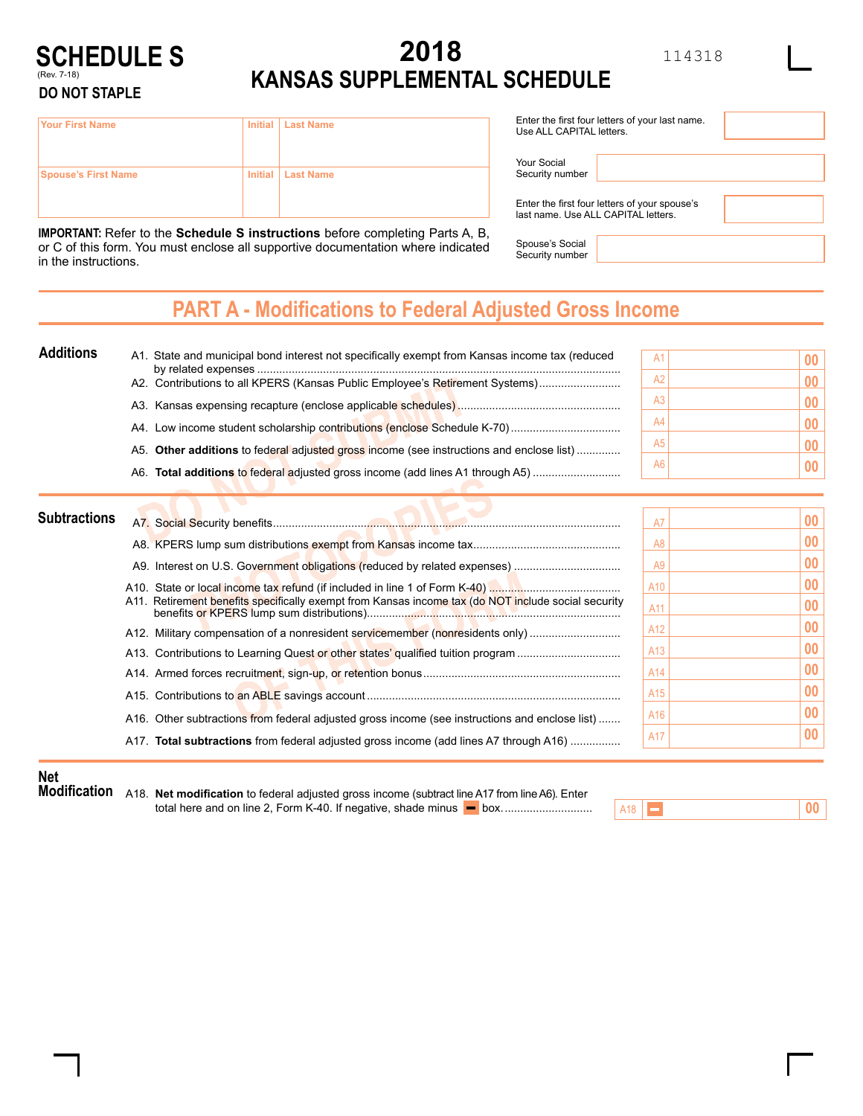# **2018 KANSAS SUPPLEMENTAL SCHEDULE**

**SCHEDULE S** (Rev. 7-18)

#### **DO NOT STAPLE**

| <b>Your First Name</b>     | Initial   Last Name |
|----------------------------|---------------------|
|                            |                     |
| <b>Spouse's First Name</b> | Initial   Last Name |
|                            |                     |
|                            |                     |

**IMPORTANT:** Refer to the **Schedule S instructions** before completing Parts A, B, or C of this form. You must enclose all supportive documentation where indicated in the instructions.

| Enter the first four letters of your last name.<br>Use ALL CAPITAL letters. |
|-----------------------------------------------------------------------------|
|                                                                             |

Your Social Security number

Enter the first four letters of your spouse's last name. Use ALL CAPITAL letters.

Spouse's Social Security number

### **PART A - Modifications to Federal Adjusted Gross Income**

| <b>Additions</b><br>A1. State and municipal bond interest not specifically exempt from Kansas income tax (reduced | A <sup>1</sup> |  |
|-------------------------------------------------------------------------------------------------------------------|----------------|--|
| A2. Contributions to all KPERS (Kansas Public Employee's Retirement Systems)                                      | Αż             |  |
|                                                                                                                   | Ač             |  |
|                                                                                                                   | A4             |  |
| A5. Other additions to federal adjusted gross income (see instructions and enclose list)                          | A <sub>5</sub> |  |
| A6. Total additions to federal adjusted gross income (add lines A1 through A5)                                    | A6             |  |

| <b>Subtractions</b> |                                                                                                     |                 | 00                |
|---------------------|-----------------------------------------------------------------------------------------------------|-----------------|-------------------|
|                     |                                                                                                     |                 | $00\,$            |
|                     |                                                                                                     | A <sub>9</sub>  | 00                |
|                     | A11. Retirement benefits specifically exempt from Kansas income tax (do NOT include social security | A10             | 00                |
|                     |                                                                                                     | A11             | 00 <sup>1</sup>   |
|                     | A12. Military compensation of a nonresident servicemember (nonresidents only)                       | A12             | 00                |
|                     | A13. Contributions to Learning Quest or other states' qualified tuition program                     | A <sub>13</sub> | 00                |
|                     |                                                                                                     | A14             | $\boldsymbol{00}$ |
|                     |                                                                                                     | A <sub>15</sub> | 00                |
|                     | A16. Other subtractions from federal adjusted gross income (see instructions and enclose list)      | A16             | 00 <sub>1</sub>   |
|                     | A17. Total subtractions from federal adjusted gross income (add lines A7 through A16)               | A17             | 00 <sup>1</sup>   |

#### **Net**

**Modification** A18. **Net modification** to federal adjusted gross income (subtract line A17 from line A6). Enter total here and on line 2, Form K-40. If negative, shade minus box.............................

| <b>Contract Contract Contract</b><br>11 |  |
|-----------------------------------------|--|